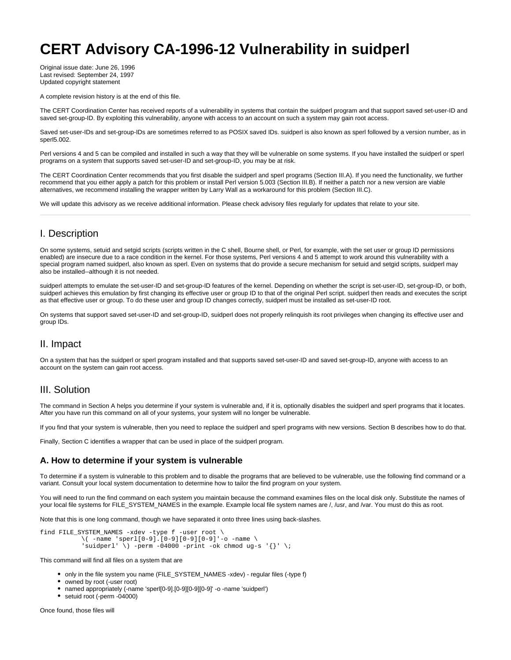# **CERT Advisory CA-1996-12 Vulnerability in suidperl**

Original issue date: June 26, 1996 Last revised: September 24, 1997 Updated copyright statement

A complete revision history is at the end of this file.

The CERT Coordination Center has received reports of a vulnerability in systems that contain the suidperl program and that support saved set-user-ID and saved set-group-ID. By exploiting this vulnerability, anyone with access to an account on such a system may gain root access.

Saved set-user-IDs and set-group-IDs are sometimes referred to as POSIX saved IDs. suidperl is also known as sperl followed by a version number, as in sperl5.002.

Perl versions 4 and 5 can be compiled and installed in such a way that they will be vulnerable on some systems. If you have installed the suidperl or sperl programs on a system that supports saved set-user-ID and set-group-ID, you may be at risk.

The CERT Coordination Center recommends that you first disable the suidperl and sperl programs (Section III.A). If you need the functionality, we further recommend that you either apply a patch for this problem or install Perl version 5.003 (Section III.B). If neither a patch nor a new version are viable alternatives, we recommend installing the wrapper written by Larry Wall as a workaround for this problem (Section III.C).

We will update this advisory as we receive additional information. Please check advisory files regularly for updates that relate to your site.

# I. Description

On some systems, setuid and setgid scripts (scripts written in the C shell, Bourne shell, or Perl, for example, with the set user or group ID permissions enabled) are insecure due to a race condition in the kernel. For those systems, Perl versions 4 and 5 attempt to work around this vulnerability with a special program named suidperl, also known as sperl. Even on systems that do provide a secure mechanism for setuid and setgid scripts, suidperl may also be installed--although it is not needed.

suidperl attempts to emulate the set-user-ID and set-group-ID features of the kernel. Depending on whether the script is set-user-ID, set-group-ID, or both, suidperl achieves this emulation by first changing its effective user or group ID to that of the original Perl script. suidperl then reads and executes the script as that effective user or group. To do these user and group ID changes correctly, suidperl must be installed as set-user-ID root.

On systems that support saved set-user-ID and set-group-ID, suidperl does not properly relinquish its root privileges when changing its effective user and group IDs.

# II. Impact

On a system that has the suidperl or sperl program installed and that supports saved set-user-ID and saved set-group-ID, anyone with access to an account on the system can gain root access.

# III. Solution

The command in Section A helps you determine if your system is vulnerable and, if it is, optionally disables the suidperl and sperl programs that it locates. After you have run this command on all of your systems, your system will no longer be vulnerable.

If you find that your system is vulnerable, then you need to replace the suidperl and sperl programs with new versions. Section B describes how to do that.

Finally, Section C identifies a wrapper that can be used in place of the suidperl program.

# **A. How to determine if your system is vulnerable**

To determine if a system is vulnerable to this problem and to disable the programs that are believed to be vulnerable, use the following find command or a variant. Consult your local system documentation to determine how to tailor the find program on your system.

You will need to run the find command on each system you maintain because the command examines files on the local disk only. Substitute the names of your local file systems for FILE\_SYSTEM\_NAMES in the example. Example local file system names are /, /usr, and /var. You must do this as root.

Note that this is one long command, though we have separated it onto three lines using back-slashes.

```
find FILE_SYSTEM_NAMES -xdev -type f -user root \
\setminus -name 'sperl[0-9].[0-9][0-9][0-9]'-o -name \setminus'suidperl' \) -perm -04000 -print -ok chmod ug-s '{}' \;
```
This command will find all files on a system that are

- only in the file system you name (FILE\_SYSTEM\_NAMES -xdev) regular files (-type f)
- owned by root (-user root)
- named appropriately (-name 'sperl[0-9].[0-9][0-9][0-9]' -o -name 'suidperl')
- setuid root (-perm -04000)

Once found, those files will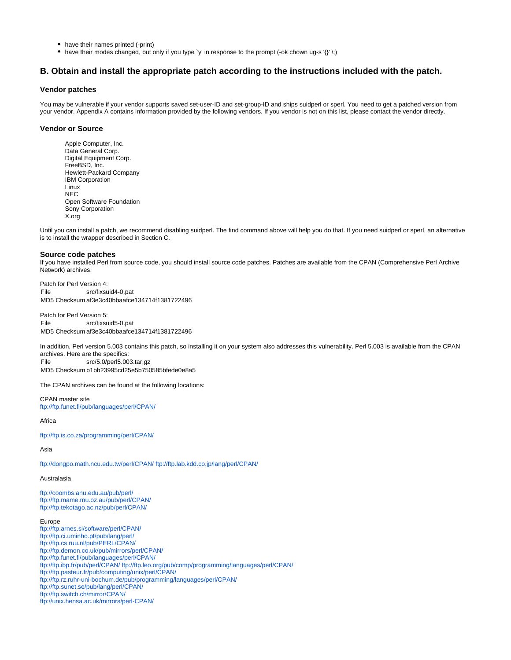- have their names printed (-print)
- have their modes changed, but only if you type 'y' in response to the prompt (-ok chown ug-s '{}' \;)

## **B. Obtain and install the appropriate patch according to the instructions included with the patch.**

#### **Vendor patches**

You may be vulnerable if your vendor supports saved set-user-ID and set-group-ID and ships suidperl or sperl. You need to get a patched version from your vendor. Appendix A contains information provided by the following vendors. If you vendor is not on this list, please contact the vendor directly.

## **Vendor or Source**

Apple Computer, Inc. Data General Corp. Digital Equipment Corp. FreeBSD, Inc. Hewlett-Packard Company IBM Corporation Linux **NEC** Open Software Foundation Sony Corporation X.org

Until you can install a patch, we recommend disabling suidperl. The find command above will help you do that. If you need suidperl or sperl, an alternative is to install the wrapper described in Section C.

#### **Source code patches**

If you have installed Perl from source code, you should install source code patches. Patches are available from the CPAN (Comprehensive Perl Archive Network) archives.

Patch for Perl Version 4: File src/fixsuid4-0.pat MD5 Checksum af3e3c40bbaafce134714f1381722496

Patch for Perl Version 5: File src/fixsuid5-0.pat MD5 Checksum af3e3c40bbaafce134714f1381722496

In addition, Perl version 5.003 contains this patch, so installing it on your system also addresses this vulnerability. Perl 5.003 is available from the CPAN archives. Here are the specifics: File src/5.0/perl5.003.tar.gz MD5 Checksum b1bb23995cd25e5b750585bfede0e8a5

The CPAN archives can be found at the following locations:

CPAN master site <ftp://ftp.funet.fi/pub/languages/perl/CPAN/>

Africa

<ftp://ftp.is.co.za/programming/perl/CPAN/>

#### Asia

<ftp://dongpo.math.ncu.edu.tw/perl/CPAN/> <ftp://ftp.lab.kdd.co.jp/lang/perl/CPAN/>

#### Australasia

<ftp://coombs.anu.edu.au/pub/perl/> <ftp://ftp.mame.mu.oz.au/pub/perl/CPAN/> <ftp://ftp.tekotago.ac.nz/pub/perl/CPAN/>

#### Europe

<ftp://ftp.arnes.si/software/perl/CPAN/> <ftp://ftp.ci.uminho.pt/pub/lang/perl/> <ftp://ftp.cs.ruu.nl/pub/PERL/CPAN/> <ftp://ftp.demon.co.uk/pub/mirrors/perl/CPAN/> <ftp://ftp.funet.fi/pub/languages/perl/CPAN/> <ftp://ftp.ibp.fr/pub/perl/CPAN/> <ftp://ftp.leo.org/pub/comp/programming/languages/perl/CPAN/> <ftp://ftp.pasteur.fr/pub/computing/unix/perl/CPAN/> <ftp://ftp.rz.ruhr-uni-bochum.de/pub/programming/languages/perl/CPAN/> <ftp://ftp.sunet.se/pub/lang/perl/CPAN/> <ftp://ftp.switch.ch/mirror/CPAN/> <ftp://unix.hensa.ac.uk/mirrors/perl-CPAN/>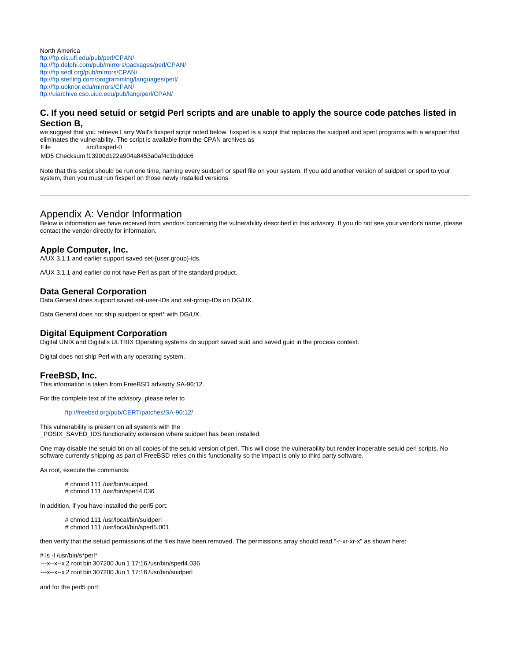North America <ftp://ftp.cis.ufl.edu/pub/perl/CPAN/> <ftp://ftp.delphi.com/pub/mirrors/packages/perl/CPAN/> <ftp://ftp.sedl.org/pub/mirrors/CPAN/> <ftp://ftp.sterling.com/programming/languages/perl/> <ftp://ftp.uoknor.edu/mirrors/CPAN/> <ftp://uiarchive.cso.uiuc.edu/pub/lang/perl/CPAN/>

# **C. If you need setuid or setgid Perl scripts and are unable to apply the source code patches listed in Section B,**

we suggest that you retrieve Larry Wall's fixsperl script noted below. fixsperl is a script that replaces the suidperl and sperl programs with a wrapper that eliminates the vulnerability. The script is available from the CPAN archives as

File src/fixsperl-0

MD5 Checksum f13900d122a904a8453a0af4c1bdddc6

Note that this script should be run one time, naming every suidperl or sperl file on your system. If you add another version of suidperl or sperl to your system, then you must run fixsperl on those newly installed versions.

# Appendix A: Vendor Information

Below is information we have received from vendors concerning the vulnerability described in this advisory. If you do not see your vendor's name, please contact the vendor directly for information.

## **Apple Computer, Inc.**

A/UX 3.1.1 and earlier support saved set-{user,group}-ids.

A/UX 3.1.1 and earlier do not have Perl as part of the standard product.

## **Data General Corporation**

Data General does support saved set-user-IDs and set-group-IDs on DG/UX.

Data General does not ship suidperl or sperl\* with DG/UX.

## **Digital Equipment Corporation**

Digital UNIX and Digital's ULTRIX Operating systems do support saved suid and saved guid in the process context.

Digital does not ship Perl with any operating system.

#### **FreeBSD, Inc.**

This information is taken from FreeBSD advisory SA-96:12.

For the complete text of the advisory, please refer to

#### <ftp://freebsd.org/pub/CERT/patches/SA-96:12/>

This vulnerability is present on all systems with the \_POSIX\_SAVED\_IDS functionality extension where suidperl has been installed.

One may disable the setuid bit on all copies of the setuid version of perl. This will close the vulnerability but render inoperable setuid perl scripts. No software currently shipping as part of FreeBSD relies on this functionality so the impact is only to third party software.

As root, execute the commands:

# chmod 111 /usr/bin/suidperl # chmod 111 /usr/bin/sperl4.036

In addition, if you have installed the perl5 port:

# chmod 111 /usr/local/bin/suidperl # chmod 111 /usr/local/bin/sperl5.001

then verify that the setuid permissions of the files have been removed. The permissions array should read "-r-xr-xr-x" as shown here:

# ls -l /usr/bin/s\*perl\*

- ---x--x--x 2 root bin 307200 Jun 1 17:16 /usr/bin/sperl4.036
- ---x--x--x 2 root bin 307200 Jun 1 17:16 /usr/bin/suidperl

and for the perl5 port: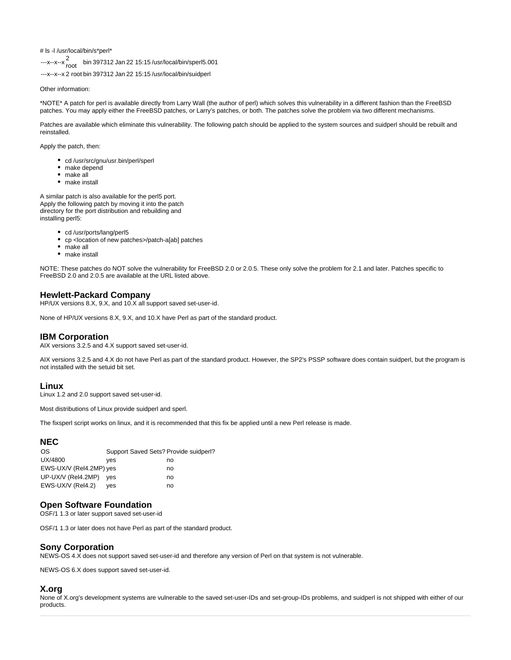# ls -l /usr/local/bin/s\*perl\*

---x--x--x 2 root bin <sup>397312</sup> Jan 22 15:15 /usr/local/bin/sperl5.001

---x--x--x 2 root bin 397312 Jan 22 15:15 /usr/local/bin/suidperl

Other information:

\*NOTE\* A patch for perl is available directly from Larry Wall (the author of perl) which solves this vulnerability in a different fashion than the FreeBSD patches. You may apply either the FreeBSD patches, or Larry's patches, or both. The patches solve the problem via two different mechanisms.

Patches are available which eliminate this vulnerability. The following patch should be applied to the system sources and suidperl should be rebuilt and reinstalled.

Apply the patch, then:

- cd /usr/src/gnu/usr.bin/perl/sperl
- make depend
- make all
- make install

A similar patch is also available for the perl5 port. Apply the following patch by moving it into the patch directory for the port distribution and rebuilding and installing perl5:

- cd /usr/ports/lang/perl5
- cp <location of new patches>/patch-a[ab] patches
- make all
- make install

NOTE: These patches do NOT solve the vulnerability for FreeBSD 2.0 or 2.0.5. These only solve the problem for 2.1 and later. Patches specific to FreeBSD 2.0 and 2.0.5 are available at the URL listed above.

## **Hewlett-Packard Company**

HP/UX versions 8.X, 9.X, and 10.X all support saved set-user-id.

None of HP/UX versions 8.X, 9.X, and 10.X have Perl as part of the standard product.

# **IBM Corporation**

AIX versions 3.2.5 and 4.X support saved set-user-id.

AIX versions 3.2.5 and 4.X do not have Perl as part of the standard product. However, the SP2's PSSP software does contain suidperl, but the program is not installed with the setuid bit set.

## **Linux**

Linux 1.2 and 2.0 support saved set-user-id.

Most distributions of Linux provide suidperl and sperl.

The fixsperl script works on linux, and it is recommended that this fix be applied until a new Perl release is made.

# **NEC**

| ves                     | no                                    |
|-------------------------|---------------------------------------|
| EWS-UX/V (Rel4.2MP) yes | no                                    |
| UP-UX/V (Rel4.2MP) yes  | no                                    |
| ves                     | no                                    |
|                         | Support Saved Sets? Provide suidperl? |

## **Open Software Foundation**

OSF/1 1.3 or later support saved set-user-id

OSF/1 1.3 or later does not have Perl as part of the standard product.

# **Sony Corporation**

NEWS-OS 4.X does not support saved set-user-id and therefore any version of Perl on that system is not vulnerable.

NEWS-OS 6.X does support saved set-user-id.

# **X.org**

None of X.org's development systems are vulnerable to the saved set-user-IDs and set-group-IDs problems, and suidperl is not shipped with either of our products.